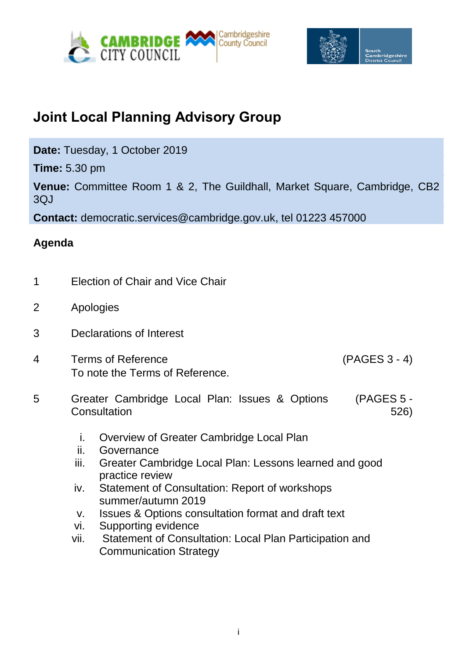



## **Joint Local Planning Advisory Group**

**Date:** Tuesday, 1 October 2019

**Time:** 5.30 pm

**Venue:** Committee Room 1 & 2, The Guildhall, Market Square, Cambridge, CB2 3QJ

**Contact:** democratic.services@cambridge.gov.uk, tel 01223 457000

## **Agenda**

- 1 Election of Chair and Vice Chair
- 2 Apologies
- 3 Declarations of Interest
- 4 Terms of Reference (PAGES 3 4) To note the Terms of Reference.

- 5 Greater Cambridge Local Plan: Issues & Options **Consultation** (PAGES 5 - 526)
	- i. Overview of Greater Cambridge Local Plan
	- ii. Governance
	- iii. Greater Cambridge Local Plan: Lessons learned and good practice review
	- iv. Statement of Consultation: Report of workshops summer/autumn 2019
	- v. Issues & Options consultation format and draft text
	- vi. Supporting evidence
	- vii. Statement of Consultation: Local Plan Participation and Communication Strategy